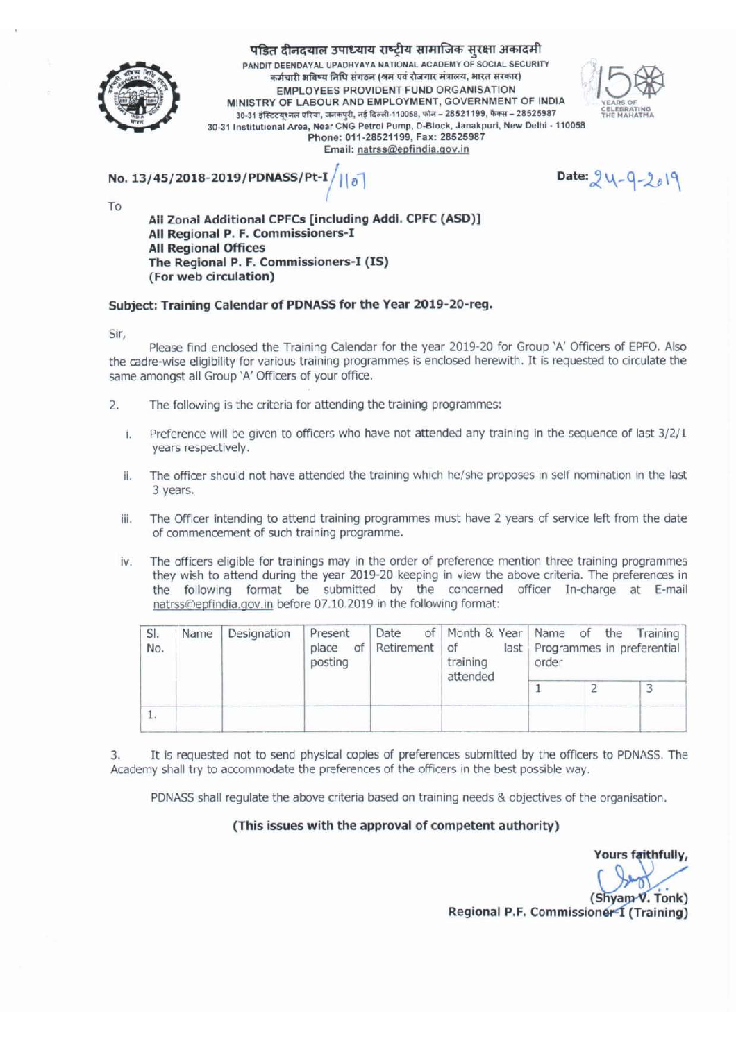

पंडित दीनदयाल उपाध्याय राष्ट्रीय सामाजिक सुरक्षा अकादमी

PANDIT DEENDAYAL UPADHYAYA NATIONAL ACADEMY OF SOCIAL SECURITY कर्मचारी भविष्य निधि संगठन (श्रम एवं रोजगार मंत्रालय, भारत सरकार) EMPLOYEES PROVIDENT FUND ORGANISATION MINISTRY OF LABOUR AND EMPLOYMENT, GOVERNMENT OF INDIA 30-31 इंस्टिटयुश्नल एरिया, जनकपुरी, नई दिल्ली-110058, फोन - 28521199, फैक्स - 28525987 30-31 Institutional Area, Near CNG Petrol Pump, D-Block, Janakpuri, New Delhi - 110058 Phone: 011-28521199, Fax: 28525987 Email: natrss@epfindia.gov.in



No. 13/45/2018-2019/PDNASS/P

Date: 24-9-2019

To

All Zonal Additional CPFCs [including Addi. CPFC (ASD)] All Regional P. F. Commissioners-I **All Regional Offices** The Regional P. F. Commissioners-I (IS) (For web circulation)

#### Subject: Training Calendar of PDNASS for the Year 2019-20-reg.

Sir.

Please find enclosed the Training Calendar for the year 2019-20 for Group 'A' Officers of EPFO. Also the cadre-wise eligibility for various training programmes is enclosed herewith. It is requested to circulate the same amongst all Group 'A' Officers of your office.

- The following is the criteria for attending the training programmes:  $2.$ 
	- Preference will be given to officers who have not attended any training in the sequence of last 3/2/1 i. years respectively.
	- The officer should not have attended the training which he/she proposes in self nomination in the last ii. 3 years.
	- iii. The Officer intending to attend training programmes must have 2 years of service left from the date of commencement of such training programme.
	- iv. The officers eligible for trainings may in the order of preference mention three training programmes they wish to attend during the year 2019-20 keeping in view the above criteria. The preferences in the following format be submitted by the concerned officer In-charge at E-mail natrss@epfindia.gov.in before 07.10.2019 in the following format:

| SI.<br>No. | Name | Designation | Present<br>place<br>of <sub>1</sub><br>posting | Date<br>Retirement of | training<br>attended | of Month & Year Name of the Training<br>last Programmes in preferential<br>order |  |  |  |  |
|------------|------|-------------|------------------------------------------------|-----------------------|----------------------|----------------------------------------------------------------------------------|--|--|--|--|
|            |      |             |                                                |                       |                      |                                                                                  |  |  |  |  |
|            |      |             |                                                |                       |                      |                                                                                  |  |  |  |  |

It is requested not to send physical copies of preferences submitted by the officers to PDNASS. The 3. Academy shall try to accommodate the preferences of the officers in the best possible way.

PDNASS shall regulate the above criteria based on training needs & objectives of the organisation.

#### (This issues with the approval of competent authority)

ours faithfully,

(Shyam V. Tonk) Regional P.F. Commissioner-I (Training)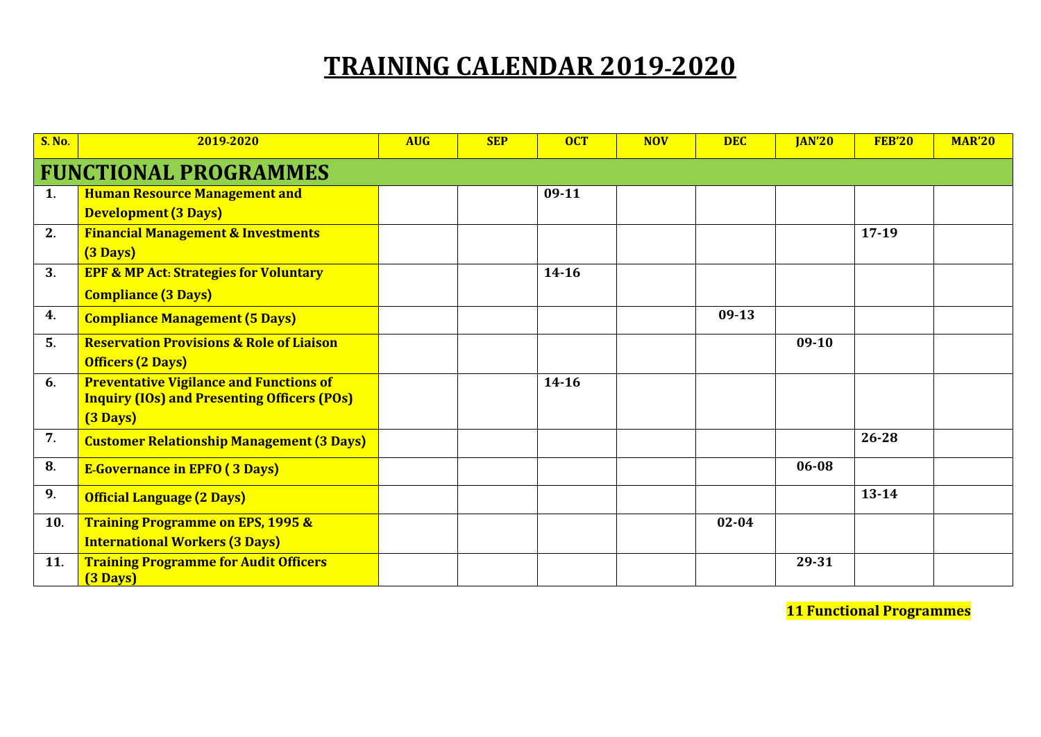# **TRAINING CALENDAR 2019-2020**

| <b>S. No.</b> | 2019-2020                                                                                            | <b>AUG</b> | <b>SEP</b> | <b>OCT</b> | <b>NOV</b> | <b>DEC</b> | <b>JAN'20</b> | <b>FEB'20</b> | <b>MAR'20</b> |
|---------------|------------------------------------------------------------------------------------------------------|------------|------------|------------|------------|------------|---------------|---------------|---------------|
|               | <b>FUNCTIONAL PROGRAMMES</b>                                                                         |            |            |            |            |            |               |               |               |
| 1.            | <b>Human Resource Management and</b>                                                                 |            |            | $09-11$    |            |            |               |               |               |
|               | <b>Development (3 Days)</b>                                                                          |            |            |            |            |            |               |               |               |
| 2.            | <b>Financial Management &amp; Investments</b>                                                        |            |            |            |            |            |               | $17-19$       |               |
|               | $(3 \text{ Days})$                                                                                   |            |            |            |            |            |               |               |               |
| 3.            | <b>EPF &amp; MP Act: Strategies for Voluntary</b>                                                    |            |            | $14 - 16$  |            |            |               |               |               |
|               | <b>Compliance (3 Days)</b>                                                                           |            |            |            |            |            |               |               |               |
| 4.            | <b>Compliance Management (5 Days)</b>                                                                |            |            |            |            | $09-13$    |               |               |               |
| 5.            | <b>Reservation Provisions &amp; Role of Liaison</b>                                                  |            |            |            |            |            | $09-10$       |               |               |
|               | <b>Officers (2 Days)</b>                                                                             |            |            |            |            |            |               |               |               |
| 6.            | <b>Preventative Vigilance and Functions of</b><br><b>Inquiry (IOs) and Presenting Officers (POs)</b> |            |            | $14 - 16$  |            |            |               |               |               |
|               | (3 Days)                                                                                             |            |            |            |            |            |               |               |               |
| 7.            | <b>Customer Relationship Management (3 Days)</b>                                                     |            |            |            |            |            |               | 26-28         |               |
| 8.            | <b>E-Governance in EPFO (3 Days)</b>                                                                 |            |            |            |            |            | 06-08         |               |               |
| 9.            | <b>Official Language (2 Days)</b>                                                                    |            |            |            |            |            |               | $13 - 14$     |               |
| 10.           | <b>Training Programme on EPS, 1995 &amp;</b>                                                         |            |            |            |            | $02 - 04$  |               |               |               |
|               | <b>International Workers (3 Days)</b>                                                                |            |            |            |            |            |               |               |               |
| 11.           | <b>Training Programme for Audit Officers</b><br>(3 Days)                                             |            |            |            |            |            | 29-31         |               |               |

**11 Functional Programmes**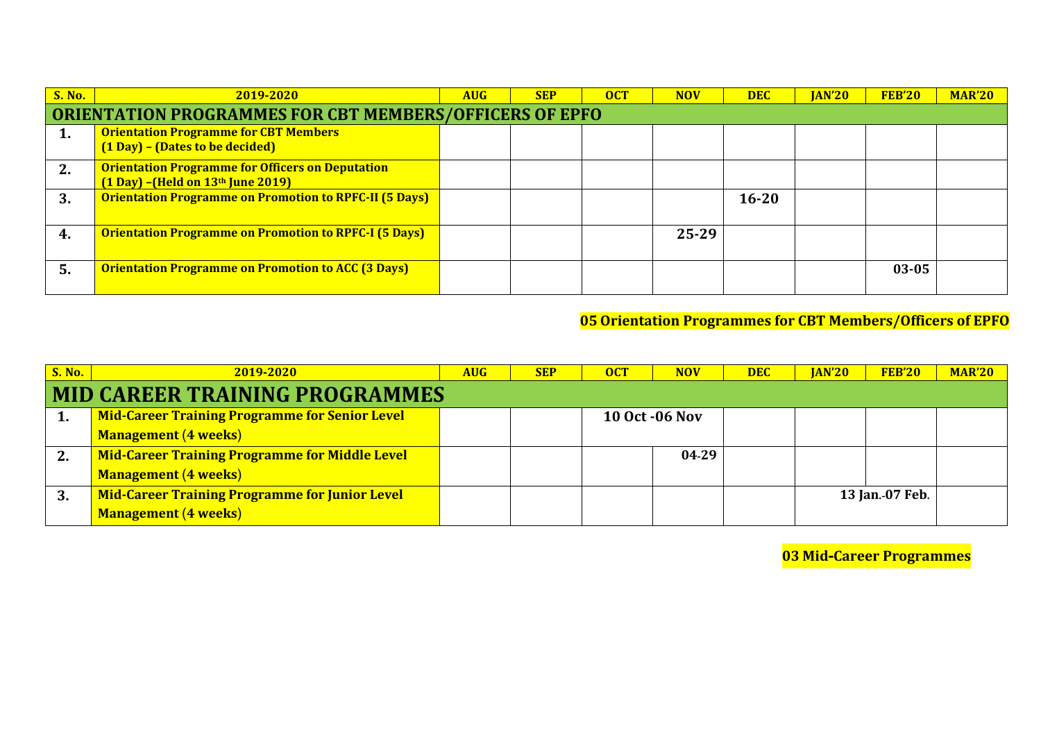| <b>S. No.</b> | 2019-2020                                                                                                          | <b>AUG</b> | <b>SEP</b> | <b>OCT</b> | <b>NOV</b> | <b>DEC</b> | <b>IAN'20</b> | <b>FEB'20</b> | <b>MAR'20</b> |  |
|---------------|--------------------------------------------------------------------------------------------------------------------|------------|------------|------------|------------|------------|---------------|---------------|---------------|--|
|               | <b>ORIENTATION PROGRAMMES FOR CBT MEMBERS/OFFICERS OF EPFO</b>                                                     |            |            |            |            |            |               |               |               |  |
| 1.            | <b>Orientation Programme for CBT Members</b><br>(1 Day) - (Dates to be decided)                                    |            |            |            |            |            |               |               |               |  |
| 2.            | <b>Orientation Programme for Officers on Deputation</b><br>$(1 \text{ Day})$ –(Held on $13^{\text{th}}$ June 2019) |            |            |            |            |            |               |               |               |  |
| 3.            | <b>Orientation Programme on Promotion to RPFC-II (5 Days)</b>                                                      |            |            |            |            | $16 - 20$  |               |               |               |  |
| 4.            | <b>Orientation Programme on Promotion to RPFC-I (5 Days)</b>                                                       |            |            |            | 25-29      |            |               |               |               |  |
| 5.            | <b>Orientation Programme on Promotion to ACC (3 Days)</b>                                                          |            |            |            |            |            |               | $03 - 05$     |               |  |

### **05 Orientation Programmes for CBT Members/Officers of EPFO**

| <b>S. No.</b> | 2019-2020                                             | <b>AUG</b> | <b>SEP</b> | <b>OCT</b>            | <b>NOV</b> | <b>DEC</b> | <b>JAN'20</b> | <b>FEB'20</b>   | <b>MAR'20</b> |
|---------------|-------------------------------------------------------|------------|------------|-----------------------|------------|------------|---------------|-----------------|---------------|
|               | <b>MID CAREER TRAINING PROGRAMMES</b>                 |            |            |                       |            |            |               |                 |               |
|               | <b>Mid-Career Training Programme for Senior Level</b> |            |            | <b>10 Oct -06 Nov</b> |            |            |               |                 |               |
|               | <b>Management (4 weeks)</b>                           |            |            |                       |            |            |               |                 |               |
|               | <b>Mid-Career Training Programme for Middle Level</b> |            |            |                       | 04-29      |            |               |                 |               |
|               | <b>Management (4 weeks)</b>                           |            |            |                       |            |            |               |                 |               |
|               | <b>Mid-Career Training Programme for Junior Level</b> |            |            |                       |            |            |               | 13 Jan.-07 Feb. |               |
|               | <b>Management (4 weeks)</b>                           |            |            |                       |            |            |               |                 |               |

**03 Mid-Career Programmes**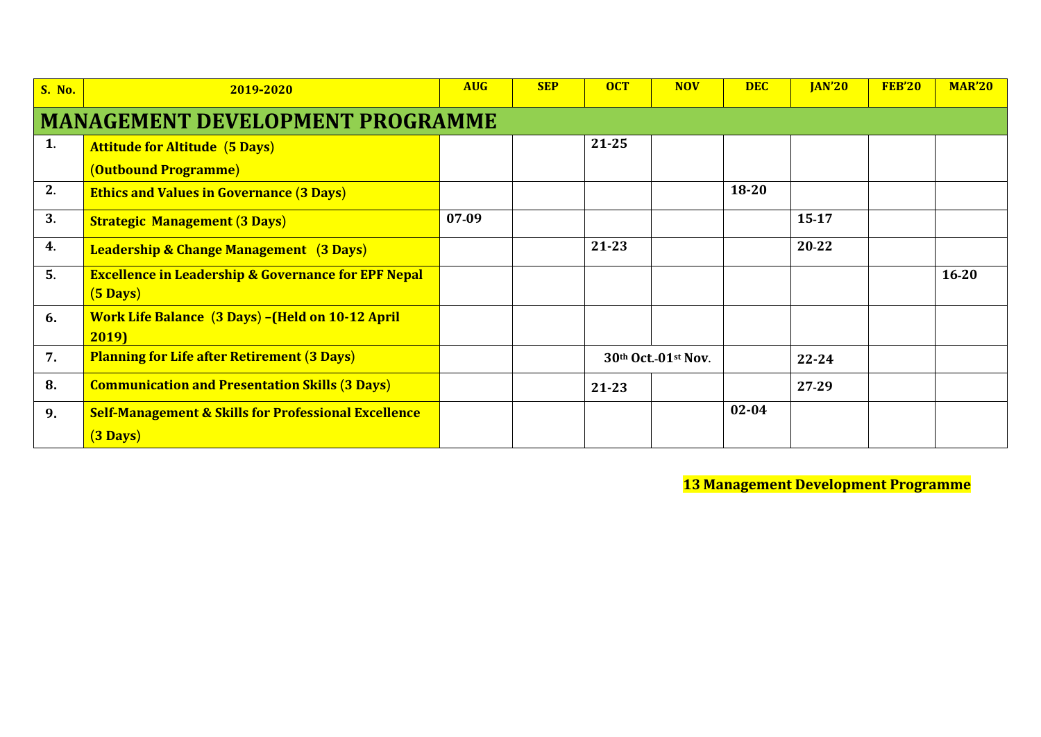| <b>S. No.</b> | 2019-2020                                                                            | <b>AUG</b> | <b>SEP</b> | <b>OCT</b> | <b>NOV</b>          | <b>DEC</b> | <b>JAN'20</b> | <b>FEB'20</b> | <b>MAR'20</b> |  |
|---------------|--------------------------------------------------------------------------------------|------------|------------|------------|---------------------|------------|---------------|---------------|---------------|--|
|               | <b>MANAGEMENT DEVELOPMENT PROGRAMME</b>                                              |            |            |            |                     |            |               |               |               |  |
| 1.            | <b>Attitude for Altitude (5 Days)</b>                                                |            |            | $21 - 25$  |                     |            |               |               |               |  |
|               | (Outbound Programme)                                                                 |            |            |            |                     |            |               |               |               |  |
| 2.            | <b>Ethics and Values in Governance (3 Days)</b>                                      |            |            |            |                     | $18 - 20$  |               |               |               |  |
| 3.            | <b>Strategic Management (3 Days)</b>                                                 | 07-09      |            |            |                     |            | 15-17         |               |               |  |
| 4.            | <b>Leadership &amp; Change Management</b> (3 Days)                                   |            |            | $21 - 23$  |                     |            | 20-22         |               |               |  |
| 5.            | <b>Excellence in Leadership &amp; Governance for EPF Nepal</b><br>$(5 \text{ Days})$ |            |            |            |                     |            |               |               | $16-20$       |  |
| 6.            | <b>Work Life Balance (3 Days) - (Held on 10-12 April</b><br>2019)                    |            |            |            |                     |            |               |               |               |  |
| 7.            | <b>Planning for Life after Retirement (3 Days)</b>                                   |            |            |            | 30th Oct.-01st Nov. |            | 22-24         |               |               |  |
| 8.            | <b>Communication and Presentation Skills (3 Days)</b>                                |            |            | 21-23      |                     |            | 27-29         |               |               |  |
| 9.            | <b>Self-Management &amp; Skills for Professional Excellence</b>                      |            |            |            |                     | $02 - 04$  |               |               |               |  |
|               | $(3 \text{ Days})$                                                                   |            |            |            |                     |            |               |               |               |  |

**13 Management Development Programme**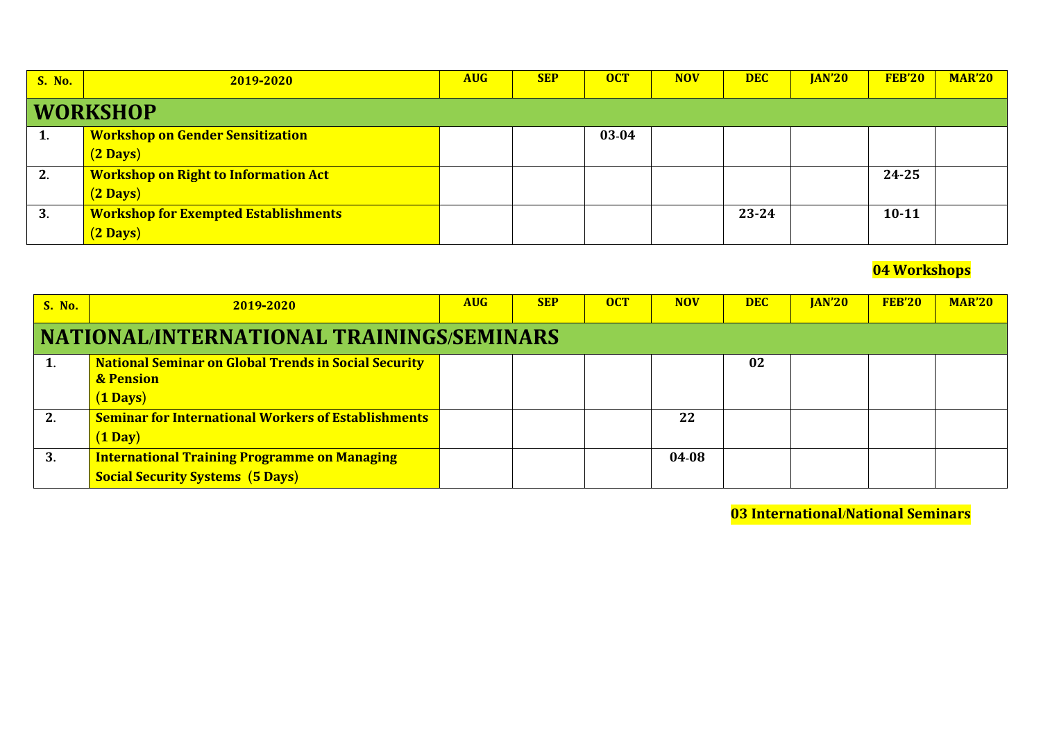| <b>S. No.</b> | 2019-2020                                   | <b>AUG</b> | <b>SEP</b> | <b>OCT</b> | <b>NOV</b> | <b>DEC</b> | <b>JAN'20</b> | <b>FEB'20</b> | <b>MAR'20</b> |
|---------------|---------------------------------------------|------------|------------|------------|------------|------------|---------------|---------------|---------------|
|               | <b>WORKSHOP</b>                             |            |            |            |            |            |               |               |               |
| 1.            | <b>Workshop on Gender Sensitization</b>     |            |            | 03-04      |            |            |               |               |               |
|               | $(2 \text{ Days})$                          |            |            |            |            |            |               |               |               |
| 2.            | <b>Workshop on Right to Information Act</b> |            |            |            |            |            |               | 24-25         |               |
|               | $(2 \text{ Days})$                          |            |            |            |            |            |               |               |               |
| 3.            | <b>Workshop for Exempted Establishments</b> |            |            |            |            | 23-24      |               | $10 - 11$     |               |
|               | $(2 \text{ Days})$                          |            |            |            |            |            |               |               |               |

### **04 Workshops**

| <b>S. No.</b> | 2019-2020                                                                                                 | <b>AUG</b> | <b>SEP</b> | <b>OCT</b> | <b>NOV</b> | <b>DEC</b> | <b>JAN'20</b> | <b>FEB'20</b> | <b>MAR'20</b> |
|---------------|-----------------------------------------------------------------------------------------------------------|------------|------------|------------|------------|------------|---------------|---------------|---------------|
|               | NATIONAL/INTERNATIONAL TRAININGS/SEMINARS                                                                 |            |            |            |            |            |               |               |               |
|               | <b>National Seminar on Global Trends in Social Security</b><br><b>&amp; Pension</b><br>$(1 \text{ Days})$ |            |            |            |            | 02         |               |               |               |
| 2.            | <b>Seminar for International Workers of Establishments</b><br>$(1 \text{ Day})$                           |            |            |            | 22         |            |               |               |               |
| 3.            | <b>International Training Programme on Managing</b><br><b>Social Security Systems (5 Days)</b>            |            |            |            | 04-08      |            |               |               |               |

**03 International/National Seminars**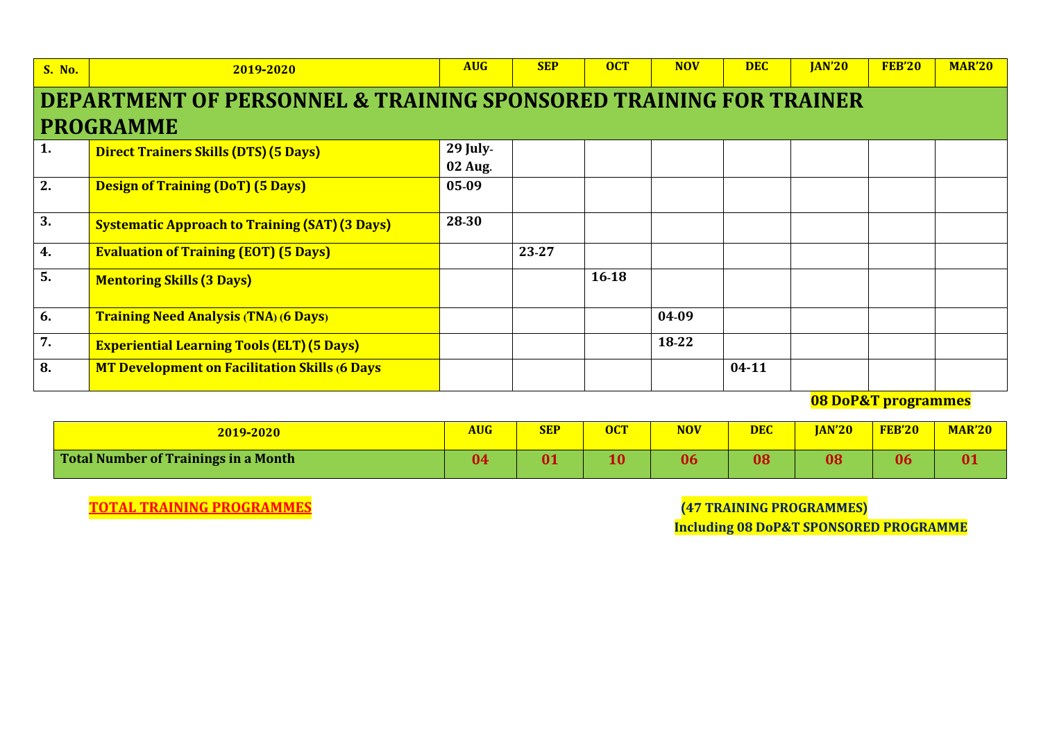| <b>S. No.</b> | 2019-2020                                                         | <b>AUG</b> | <b>SEP</b> | <b>OCT</b> | <b>NOV</b> | <b>DEC</b> | <b>JAN'20</b> | <b>FEB'20</b> | <b>MAR'20</b> |  |  |
|---------------|-------------------------------------------------------------------|------------|------------|------------|------------|------------|---------------|---------------|---------------|--|--|
|               | DEPARTMENT OF PERSONNEL & TRAINING SPONSORED TRAINING FOR TRAINER |            |            |            |            |            |               |               |               |  |  |
|               | <b>PROGRAMME</b>                                                  |            |            |            |            |            |               |               |               |  |  |
| 1.            | <b>Direct Trainers Skills (DTS) (5 Days)</b>                      | $29$ July- |            |            |            |            |               |               |               |  |  |
|               |                                                                   | $02$ Aug.  |            |            |            |            |               |               |               |  |  |
| 2.            | <b>Design of Training (DoT) (5 Days)</b>                          | 05-09      |            |            |            |            |               |               |               |  |  |
| 3.            | <b>Systematic Approach to Training (SAT) (3 Days)</b>             | 28-30      |            |            |            |            |               |               |               |  |  |
| 4.            | <b>Evaluation of Training (EOT) (5 Days)</b>                      |            | 23-27      |            |            |            |               |               |               |  |  |
| 5.            | <b>Mentoring Skills (3 Days)</b>                                  |            |            | 16-18      |            |            |               |               |               |  |  |
| 6.            | <b>Training Need Analysis (TNA) (6 Days)</b>                      |            |            |            | 04-09      |            |               |               |               |  |  |
| 7.            | <b>Experiential Learning Tools (ELT) (5 Days)</b>                 |            |            |            | 18-22      |            |               |               |               |  |  |
| 8.            | <b>MT Development on Facilitation Skills (6 Days</b>              |            |            |            |            | $04 - 11$  |               |               |               |  |  |

**08 DoP&T programmes**

| 2019-2020                                   | <b>AUG</b> | <b>SEP</b>              | <b>OCT</b> | <b>NOV</b> | <b>DEC</b> | <b>JAN'20</b> | <b>FEB'20</b> | <b>MAR'20</b> |
|---------------------------------------------|------------|-------------------------|------------|------------|------------|---------------|---------------|---------------|
| <b>Total Number of Trainings in a Month</b> | 04         | $\overline{\mathbf{0}}$ | 1 Л<br>1U  | 06         | 08         | 08            | 06            | 01            |

**TOTAL TRAINING PROGRAMMES (47 TRAINING PROGRAMMES)**

 **Including 08 DoP&T SPONSORED PROGRAMME**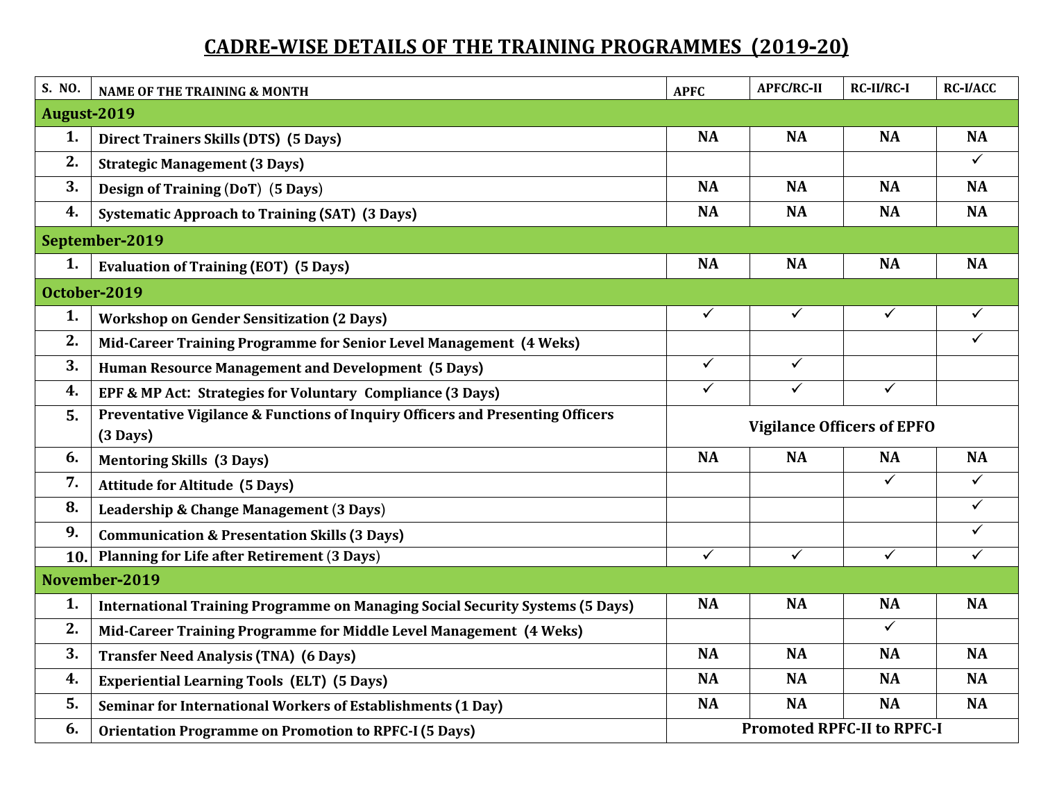## **CADRE-WISE DETAILS OF THE TRAINING PROGRAMMES (2019-20)**

| S. NO.      | NAME OF THE TRAINING & MONTH                                                                         | <b>APFC</b>  | <b>APFC/RC-II</b> | <b>RC-II/RC-I</b>                 | <b>RC-I/ACC</b>         |
|-------------|------------------------------------------------------------------------------------------------------|--------------|-------------------|-----------------------------------|-------------------------|
| August-2019 |                                                                                                      |              |                   |                                   |                         |
| 1.          | <b>Direct Trainers Skills (DTS) (5 Days)</b>                                                         | <b>NA</b>    | <b>NA</b>         | <b>NA</b>                         | <b>NA</b>               |
| 2.          | <b>Strategic Management (3 Days)</b>                                                                 |              |                   |                                   | ✓                       |
| 3.          | Design of Training (DoT) (5 Days)                                                                    | <b>NA</b>    | <b>NA</b>         | <b>NA</b>                         | <b>NA</b>               |
| 4.          | <b>Systematic Approach to Training (SAT) (3 Days)</b>                                                | <b>NA</b>    | <b>NA</b>         | <b>NA</b>                         | <b>NA</b>               |
|             | September-2019                                                                                       |              |                   |                                   |                         |
| 1.          | <b>Evaluation of Training (EOT) (5 Days)</b>                                                         | <b>NA</b>    | <b>NA</b>         | <b>NA</b>                         | <b>NA</b>               |
|             | October-2019                                                                                         |              |                   |                                   |                         |
| 1.          | <b>Workshop on Gender Sensitization (2 Days)</b>                                                     | $\checkmark$ | $\checkmark$      | $\overline{\checkmark}$           | $\checkmark$            |
| 2.          | Mid-Career Training Programme for Senior Level Management (4 Weks)                                   |              |                   |                                   | ✓                       |
| 3.          | <b>Human Resource Management and Development (5 Days)</b>                                            | $\checkmark$ | $\checkmark$      |                                   |                         |
| 4.          | EPF & MP Act: Strategies for Voluntary Compliance (3 Days)                                           | $\checkmark$ | $\checkmark$      | $\checkmark$                      |                         |
| 5.          | Preventative Vigilance & Functions of Inquiry Officers and Presenting Officers<br>$(3 \text{ Days})$ |              |                   | <b>Vigilance Officers of EPFO</b> |                         |
| 6.          | <b>Mentoring Skills (3 Days)</b>                                                                     | <b>NA</b>    | <b>NA</b>         | <b>NA</b>                         | <b>NA</b>               |
| 7.          | <b>Attitude for Altitude (5 Days)</b>                                                                |              |                   | $\checkmark$                      | ✓                       |
| 8.          | Leadership & Change Management (3 Days)                                                              |              |                   |                                   | $\blacktriangledown$    |
| 9.          | <b>Communication &amp; Presentation Skills (3 Days)</b>                                              |              |                   |                                   | ✓                       |
| 10.1        | <b>Planning for Life after Retirement (3 Days)</b>                                                   | $\sqrt{}$    | $\sqrt{}$         | $\overline{\checkmark}$           | $\overline{\checkmark}$ |
|             | November-2019                                                                                        |              |                   |                                   |                         |
| 1.          | <b>International Training Programme on Managing Social Security Systems (5 Days)</b>                 | <b>NA</b>    | <b>NA</b>         | <b>NA</b>                         | <b>NA</b>               |
| 2.          | Mid-Career Training Programme for Middle Level Management (4 Weks)                                   |              |                   | $\overline{\checkmark}$           |                         |
| 3.          | <b>Transfer Need Analysis (TNA) (6 Days)</b>                                                         | <b>NA</b>    | <b>NA</b>         | <b>NA</b>                         | <b>NA</b>               |
| 4.          | <b>Experiential Learning Tools (ELT) (5 Days)</b>                                                    | <b>NA</b>    | <b>NA</b>         | <b>NA</b>                         | <b>NA</b>               |
| 5.          | Seminar for International Workers of Establishments (1 Day)                                          | <b>NA</b>    | <b>NA</b>         | <b>NA</b>                         | <b>NA</b>               |
| 6.          | <b>Orientation Programme on Promotion to RPFC-I (5 Days)</b>                                         |              |                   | <b>Promoted RPFC-II to RPFC-I</b> |                         |